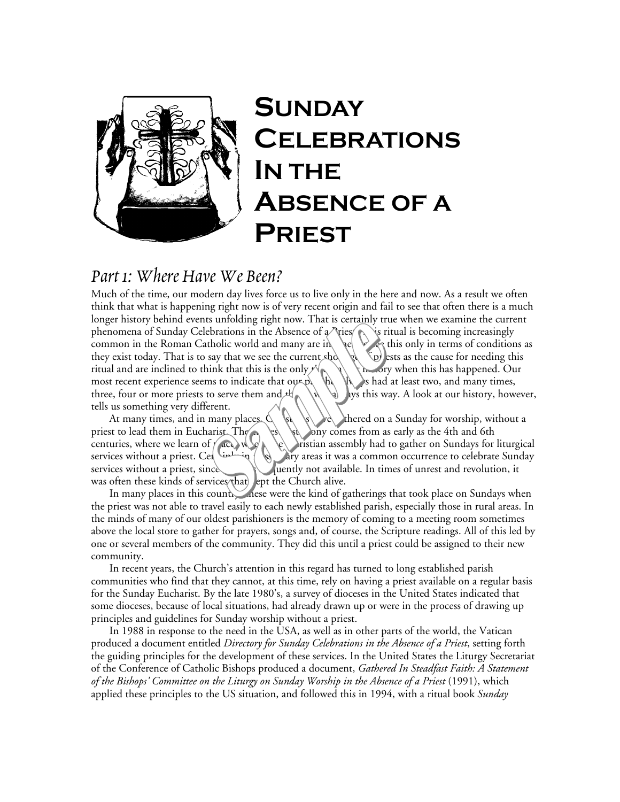

## **SUNDAY CELEBRATIONS IN THE ABSENCE OF A PRIEST**

## *Part 1: Where Have We Been?*

Much of the time, our modern day lives force us to live only in the here and now. As a result we often think that what is happening right now is of very recent origin and fail to see that often there is a much longer history behind events unfolding right now. That is certainly true when we examine the current phenomena of Sunday Celebrations in the Absence of  $\alpha$  ries  $\wedge$  is ritual is becoming increasingly common in the Roman Catholic world and many are in  $\leq$   $\leq$   $\leq$  this only in terms of conditions as they exist today. That is to say that we see the current shortage of priests as the cause for needing this ritual and are inclined to think that this is the only  $\mathcal{N}_{\mathbb{R}} \setminus \mathcal{N}_{\mathbb{R}}$  in orly when this has happened. Our most recent experience seems to indicate that  $\mathbf{O}(\mathbf{R})$  and  $\mathbf{R}$  and at least two, and many times, three, four or more priests to serve them and  $\mathcal{H} \setminus \mathcal{A} \setminus \mathcal{A}$  lys this way. A look at our history, however, tells us something very different.

At many times, and in many places,  $\mathcal{A}$   $\{s\}$   $\{s\}$  thered on a Sunday for worship, without a priest to lead them in Eucharist. The earliest testimony comes from as early as the 4th and 6th centuries, where we learn of  $\rho$  aces when  $\geq$  the Christian assembly had to gather on Sundays for liturgical services without a priest. Cel  $\frac{1}{\sqrt{2}}$  in missionary areas it was a common occurrence to celebrate Sunday services without a priest, since was functioned was frequently not available. In times of unrest and revolution, it was often these kinds of services that lept the Church alive.

In many places in this country, nese were the kind of gatherings that took place on Sundays when the priest was not able to travel easily to each newly established parish, especially those in rural areas. In the minds of many of our oldest parishioners is the memory of coming to a meeting room sometimes above the local store to gather for prayers, songs and, of course, the Scripture readings. All of this led by one or several members of the community. They did this until a priest could be assigned to their new community.

In recent years, the Church's attention in this regard has turned to long established parish communities who find that they cannot, at this time, rely on having a priest available on a regular basis for the Sunday Eucharist. By the late 1980's, a survey of dioceses in the United States indicated that some dioceses, because of local situations, had already drawn up or were in the process of drawing up principles and guidelines for Sunday worship without a priest.

In 1988 in response to the need in the USA, as well as in other parts of the world, the Vatican produced a document entitled *Directory for Sunday Celebrations in the Absence of a Priest*, setting forth the guiding principles for the development of these services. In the United States the Liturgy Secretariat of the Conference of Catholic Bishops produced a document, *Gathered In Steadfast Faith: A Statement of the Bishops' Committee on the Liturgy on Sunday Worship in the Absence of a Priest* (1991), which applied these principles to the US situation, and followed this in 1994, with a ritual book *Sunday*